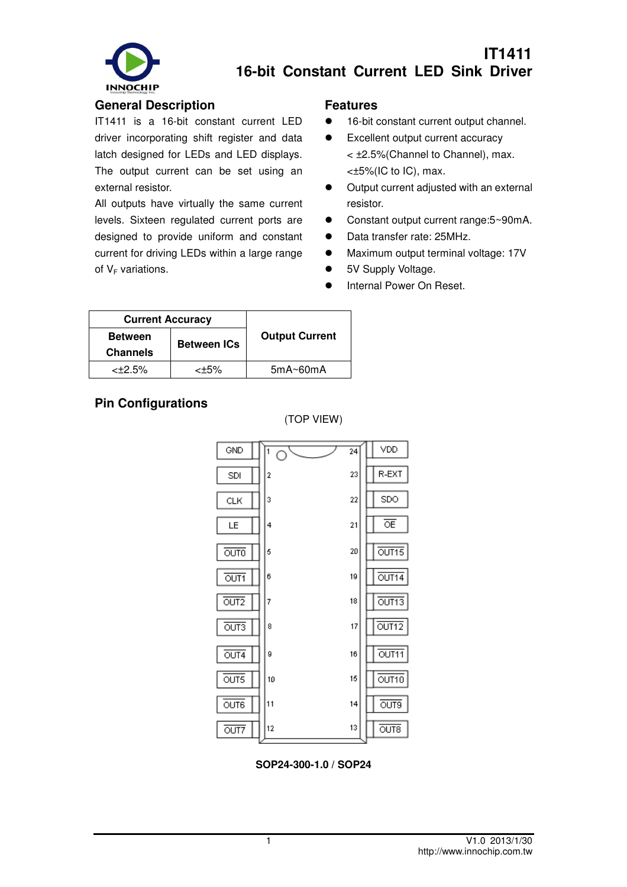

# **IT1411 16-bit Constant Current LED Sink Driver**

#### **General Description**

IT1411 is a 16-bit constant current LED driver incorporating shift register and data latch designed for LEDs and LED displays. The output current can be set using an external resistor.

All outputs have virtually the same current levels. Sixteen regulated current ports are designed to provide uniform and constant current for driving LEDs within a large range of  $V_F$  variations.

#### **Features**

- 16-bit constant current output channel.
- **Excellent output current accuracy** 
	- < ±2.5%(Channel to Channel), max. <±5%(IC to IC), max.
- $\bullet$  Output current adjusted with an external resistor.
- Constant output current range:5~90mA.
- Data transfer rate: 25MHz.
- $\bullet$  Maximum output terminal voltage: 17V
- 5V Supply Voltage.
- **•** Internal Power On Reset.

| <b>Current Accuracy</b> |                    |                       |
|-------------------------|--------------------|-----------------------|
| <b>Between</b>          |                    | <b>Output Current</b> |
| <b>Channels</b>         | <b>Between ICs</b> |                       |
| $<\pm 2.5\%$            | ktat k             | $5mA \sim 60mA$       |

### **Pin Configurations**



**SOP24-300-1.0 / SOP24**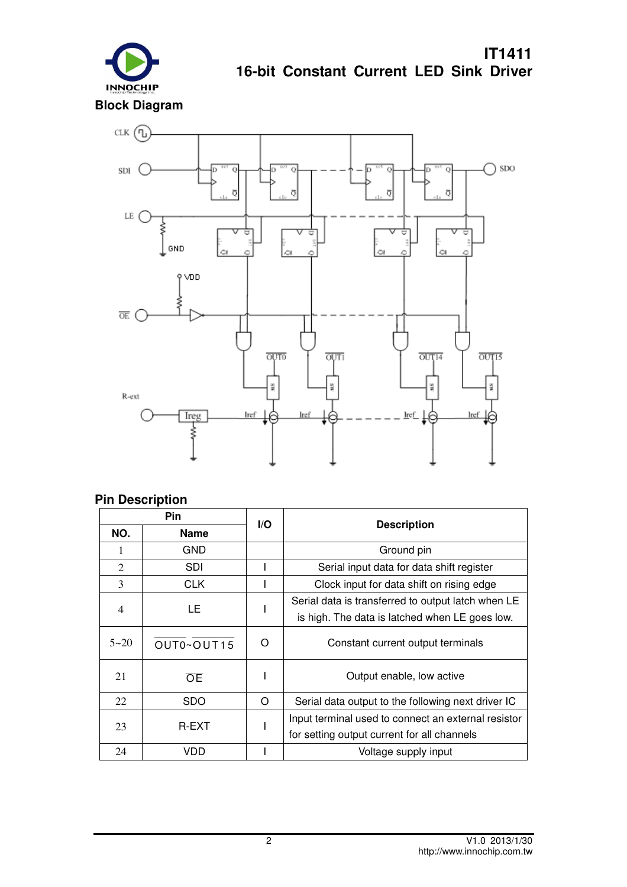

CLK  $\bigoplus$  $\bigcap$  SDO  $\mathop{\rm SDI}\nolimits$  ( ō  $\overline{O}$ Ċ  $\overline{Q}$  $\overline{\sigma}$ ą  $\overline{O}$ LE C Ε  $\overline{\phantom{a}}$  GND  $\sim$  $\Omega$ P VDD  $\overline{OE}$  ( OUT15 OUT<sub>0</sub> OUT1 OUT<sub>14</sub> MS<sub>1</sub> V.S MS. WS.  $R$ -ext Ireg Iref **Iref** <u>Iref</u> Iret ξ

### **Pin Description**

| <b>Pin</b>               |             | I/O                                            |                                                     |  |
|--------------------------|-------------|------------------------------------------------|-----------------------------------------------------|--|
| NO.                      | <b>Name</b> |                                                | <b>Description</b>                                  |  |
| 1                        | GND         |                                                | Ground pin                                          |  |
| 2                        | <b>SDI</b>  |                                                | Serial input data for data shift register           |  |
| 3                        | <b>CLK</b>  |                                                | Clock input for data shift on rising edge           |  |
| $\overline{\mathcal{A}}$ | LE          |                                                | Serial data is transferred to output latch when LE  |  |
|                          |             | is high. The data is latched when LE goes low. |                                                     |  |
| $5 - 20$                 | OUT0~OUT15  | O                                              | Constant current output terminals                   |  |
| 21                       | OE          |                                                | Output enable, low active                           |  |
| 22                       | <b>SDO</b>  | O                                              | Serial data output to the following next driver IC  |  |
| <b>R-EXT</b>             |             |                                                | Input terminal used to connect an external resistor |  |
| 23                       |             |                                                | for setting output current for all channels         |  |
| 24                       | VDD         |                                                | Voltage supply input                                |  |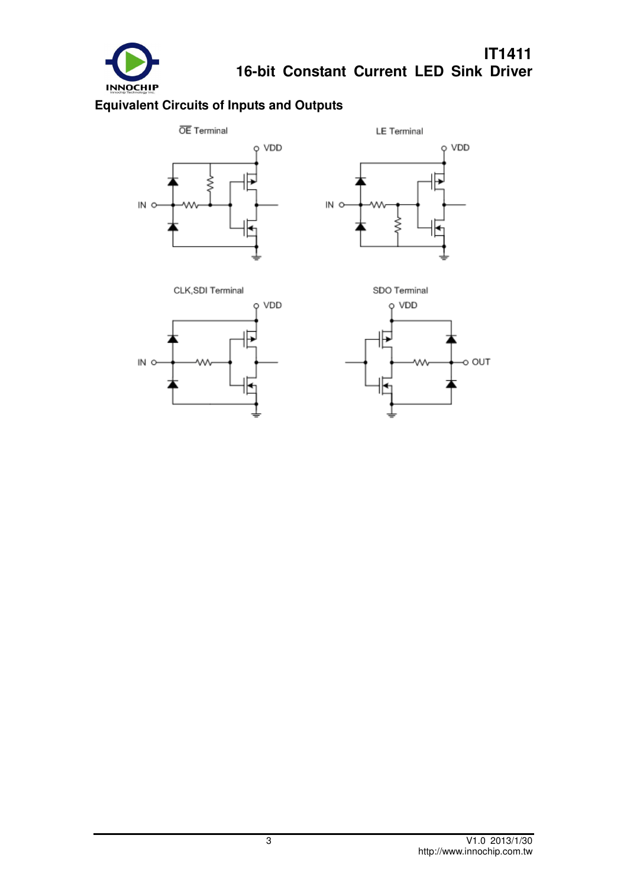

# **Equivalent Circuits of Inputs and Outputs**







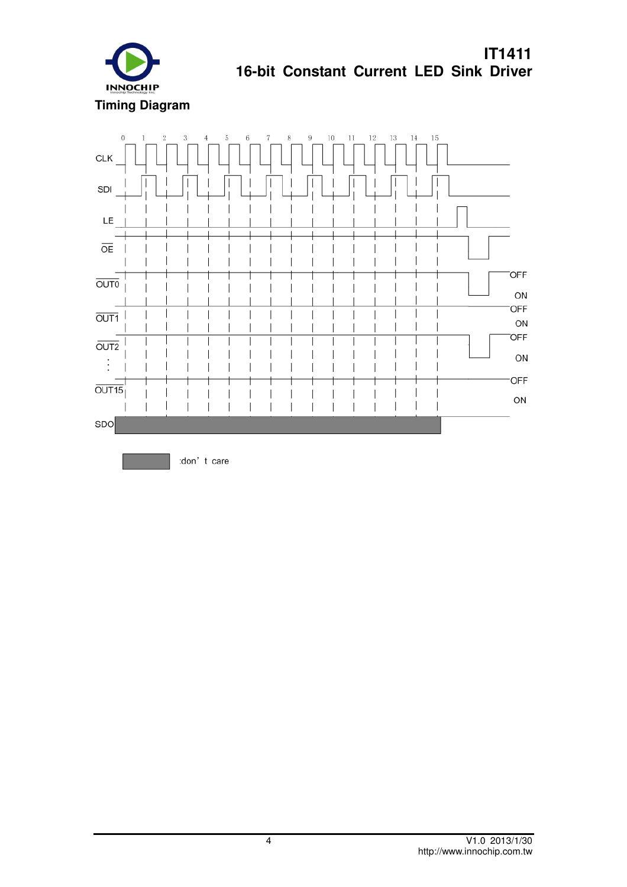

 $\alpha$  $\overline{2}$  $\mathcal{R}$  $\sqrt{5}$ 6  $\bar{7}$  $\mathbf{Q}$  $10\,$  $11\,$  $12\,$ 13  $14\,$  $15\,$  $\overline{4}$  $\overline{\mathcal{S}}$ <sub>1</sub> **CLK** SDI LE OE  $\overline{1}$  $\overline{\phantom{a}}$  $\overline{\phantom{a}}$ I **OFF**  $\overline{OUTO}$  $\overline{\phantom{a}}$ ON **OFF**  $\overline{\phantom{a}}$  $\overline{\phantom{a}}$  $\overline{\phantom{a}}$ I  $\overline{OUT1}$  $\overline{\phantom{a}}$  $\overline{\phantom{a}}$  $\overline{\phantom{a}}$  $\overline{\phantom{a}}$ I I  $\overline{\phantom{a}}$  $\overline{\phantom{a}}$ I J. ON  $\mathsf{I}$ OFF  $\overline{OUT2}$  $\overline{\phantom{a}}$ ON  $\vdots$  $\mathsf{I}$ OFF  $\overline{OUT15}$  $\overline{\phantom{a}}$ ON  $\begin{array}{c} \hline \end{array}$ SDO

:don't care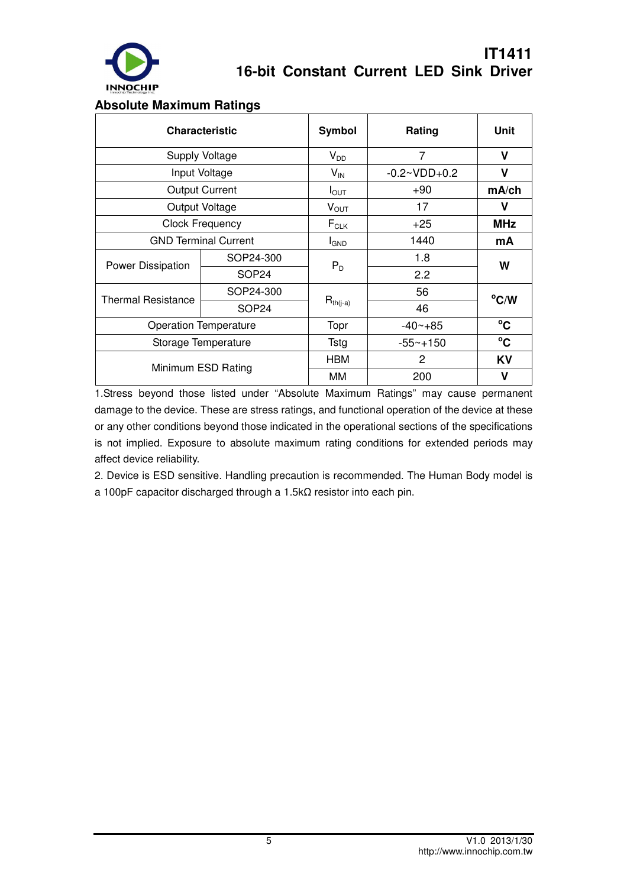

#### **Absolute Maximum Ratings**

|                             | <b>Characteristic</b>        | <b>Symbol</b>    | Rating         | Unit           |  |
|-----------------------------|------------------------------|------------------|----------------|----------------|--|
| Supply Voltage              |                              | $V_{DD}$         | 7              | V              |  |
|                             | Input Voltage                | $V_{IN}$         | $-0.2~VDD+0.2$ | V              |  |
|                             | <b>Output Current</b>        | $I_{\text{OUT}}$ | $+90$          | mA/ch          |  |
|                             | Output Voltage               | $V_{\text{OUT}}$ | 17             | v              |  |
|                             | <b>Clock Frequency</b>       | $F_{CLK}$        | $+25$          | <b>MHz</b>     |  |
| <b>GND Terminal Current</b> |                              | <b>I</b> GND     | 1440           | mA             |  |
|                             | SOP24-300                    | $P_D$            | 1.8            | W              |  |
| Power Dissipation           | SOP24                        |                  | 2.2            |                |  |
| <b>Thermal Resistance</b>   | SOP24-300                    |                  | 56             | $^{\circ}$ C/W |  |
|                             | SOP24                        | $R_{th(j-a)}$    | 46             |                |  |
|                             | <b>Operation Temperature</b> | Topr             | $-40 - +85$    | $^{\circ}$ C   |  |
|                             | Storage Temperature          | <b>Tstg</b>      | $-55 - +150$   | $^{\circ}$ C   |  |
| Minimum ESD Rating          |                              | <b>HBM</b>       | 2              | KV             |  |
|                             |                              | ΜМ               | 200            | V              |  |

1.Stress beyond those listed under "Absolute Maximum Ratings" may cause permanent damage to the device. These are stress ratings, and functional operation of the device at these or any other conditions beyond those indicated in the operational sections of the specifications is not implied. Exposure to absolute maximum rating conditions for extended periods may affect device reliability.

2. Device is ESD sensitive. Handling precaution is recommended. The Human Body model is a 100pF capacitor discharged through a 1.5kΩ resistor into each pin.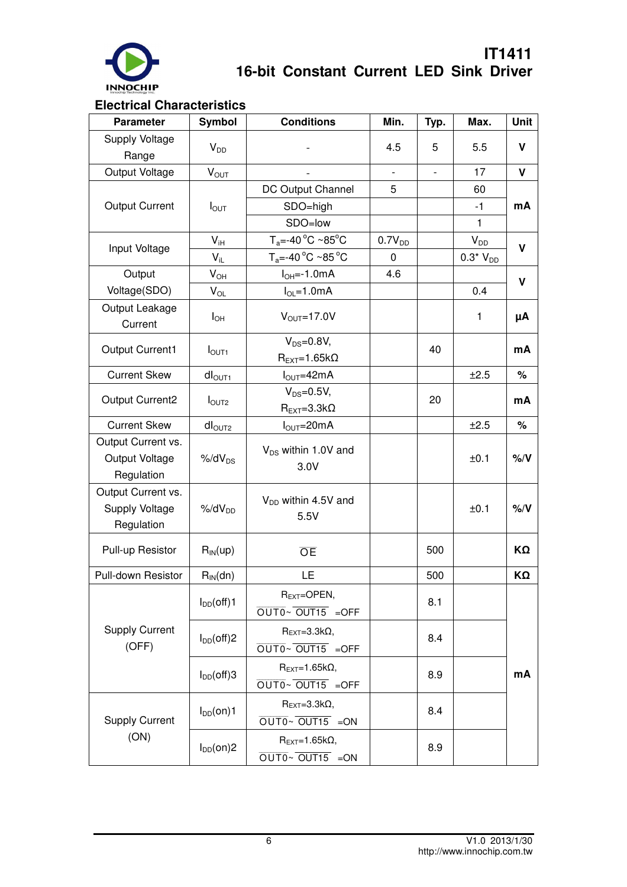

### **Electrical Characteristics**

| <b>Parameter</b>                                   | <b>Symbol</b>      | <b>Conditions</b>                             | Min.                     | Typ.           | Max.         | Unit        |  |
|----------------------------------------------------|--------------------|-----------------------------------------------|--------------------------|----------------|--------------|-------------|--|
| Supply Voltage<br>Range                            | $V_{DD}$           |                                               | 4.5                      | 5              | 5.5          | V           |  |
| Output Voltage                                     | $V_{OUT}$          |                                               | $\overline{\phantom{a}}$ | $\blacksquare$ | 17           | V           |  |
|                                                    |                    | DC Output Channel                             | 5                        |                | 60           |             |  |
| <b>Output Current</b>                              | $I_{\text{OUT}}$   | SDO=high                                      |                          |                | $-1$         | mA          |  |
|                                                    |                    | SDO=low                                       |                          | 1              |              |             |  |
|                                                    | $V_{iH}$           | $T_a = -40 °C ~85 °C$                         | $0.7V_{DD}$              |                | $V_{DD}$     |             |  |
| Input Voltage                                      | $V_{iL}$           | $T_a = -40 °C ~ 85 °C$                        | 0                        |                | $0.3*V_{DD}$ | $\mathbf v$ |  |
| Output                                             | $V_{OH}$           | $I_{OH} = -1.0mA$                             | 4.6                      |                |              |             |  |
| Voltage(SDO)                                       | $V_{OL}$           | $I_{OL} = 1.0mA$                              |                          |                | 0.4          | $\mathbf v$ |  |
| Output Leakage<br>Current                          | $I_{OH}$           | $V_{\text{OUT}} = 17.0 V$                     |                          |                | 1            | μA          |  |
| <b>Output Current1</b>                             | I <sub>OUT1</sub>  | $V_{DS}=0.8V$ ,<br>$R_{EXT} = 1.65k\Omega$    |                          | 40             |              | mA          |  |
| <b>Current Skew</b>                                | dI <sub>OUT1</sub> | $I_{\text{OUT}} = 42 \text{mA}$               |                          |                | ±2.5         | $\%$        |  |
| <b>Output Current2</b>                             |                    | $V_{DS}=0.5V$ ,                               |                          | 20             |              | mA          |  |
|                                                    | $I_{\text{OUT2}}$  | $R_{EXT}=3.3k\Omega$                          |                          |                |              |             |  |
| <b>Current Skew</b>                                | dI <sub>OUT2</sub> | $I_{\text{OUT}} = 20 \text{mA}$               |                          |                | ±2.5         | $\%$        |  |
| Output Current vs.<br>Output Voltage<br>Regulation | $%$ /d $V_{DS}$    | V <sub>DS</sub> within 1.0V and<br>3.0V       |                          |                | ±0.1         | $%$ /V      |  |
| Output Current vs.<br>Supply Voltage<br>Regulation | $%dV_{DD}$         | $V_{DD}$ within 4.5V and<br>5.5V              |                          |                | ±0.1         | $%$ /V      |  |
| Pull-up Resistor                                   | $R_{IN}$ (up)      | <b>OE</b>                                     |                          | 500            |              | ΚΩ          |  |
| Pull-down Resistor                                 | $R_{IN}(dn)$       | LE.                                           |                          |                |              | ΚΩ          |  |
|                                                    | $I_{DD}(off)1$     | $R_{EXT}$ =OPEN,<br>OUT0~OUT15 =OFF           |                          | 8.1            |              |             |  |
| <b>Supply Current</b><br>(OFF)                     | $I_{DD}(off)2$     | $R_{EXT}=3.3k\Omega,$<br>OUT0~OUT15 =OFF      |                          | 8.4            |              |             |  |
|                                                    | $I_{DD}(off)$ 3    | $R_{EXT}=1.65k\Omega,$<br>OUT0~OUT15 =OFF     |                          | 8.9            |              | mA          |  |
| <b>Supply Current</b>                              | $I_{DD}(on)1$      | $R_{EXT}=3.3k\Omega,$<br>$OUTO~V$ OUT15 = ON  |                          | 8.4            |              |             |  |
| (ON)                                               | $I_{DD}(on)2$      | $R_{EXT}=1.65k\Omega,$<br>$OUTO~V$ OUT15 = ON |                          | 8.9            |              |             |  |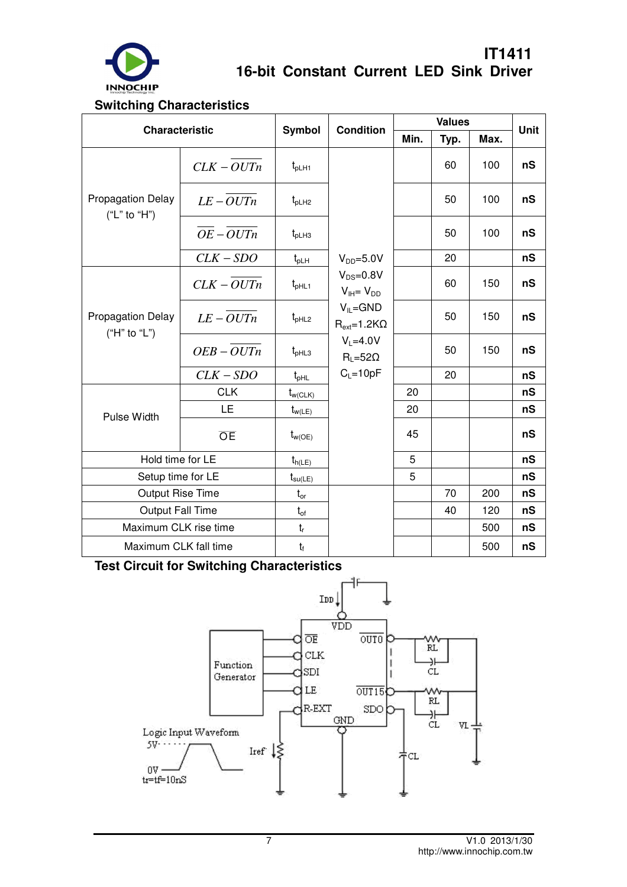

#### **Switching Characteristics**

| <b>Characteristic</b>                    |              | <b>Symbol</b>       | <b>Condition</b>                                                                              | <b>Values</b> |      |      | <b>Unit</b> |
|------------------------------------------|--------------|---------------------|-----------------------------------------------------------------------------------------------|---------------|------|------|-------------|
|                                          |              |                     |                                                                                               | Min.          | Typ. | Max. |             |
| <b>Propagation Delay</b><br>("L" to "H") | $CLK - OUTn$ | $t_{pLH1}$          |                                                                                               |               | 60   | 100  | nS          |
|                                          | $LE-OUTn$    | $t_{pLH2}$          |                                                                                               |               | 50   | 100  | nS          |
|                                          | $OE-OUTn$    | $t_{pLH3}$          |                                                                                               |               | 50   | 100  | nS          |
|                                          | $CLK - SDO$  | $t_{pLH}$           | $V_{DD} = 5.0 V$                                                                              |               | 20   |      | nS          |
| <b>Propagation Delay</b><br>("H" to "L") | $CLK - OUTn$ | $t_{pHL1}$          | $V_{DS} = 0.8V$<br>$V_{IH} = V_{DD}$                                                          |               | 60   | 150  | nS          |
|                                          | $LE-OUTn$    | $t_{pHL2}$          | $V_{IL} = GND$<br>$R_{ext} = 1.2 K\Omega$<br>$V_L = 4.0V$<br>$R_L = 52\Omega$<br>$C_L = 10pF$ |               | 50   | 150  | nS          |
|                                          | $OEB - OUTn$ | $t_{pHL3}$          |                                                                                               |               | 50   | 150  | nS          |
|                                          | $CLK - SDO$  | $t_{pHL}$           |                                                                                               |               | 20   |      | nS          |
| Pulse Width                              | <b>CLK</b>   | $t_{w(CLK)}$        |                                                                                               | 20            |      |      | nS          |
|                                          | LE           | $t_{w(LE)}$         |                                                                                               | 20            |      |      | nS          |
|                                          | <b>OE</b>    | $t_{w(OE)}$         |                                                                                               | 45            |      |      | nS          |
| Hold time for LE                         |              | $t_{h(LE)}$         |                                                                                               | 5             |      |      | nS          |
| Setup time for LE                        |              | $t_{\text{su(LE)}}$ |                                                                                               | 5             |      |      | nS          |
| <b>Output Rise Time</b>                  |              | $t_{or}$            |                                                                                               |               | 70   | 200  | nS          |
| <b>Output Fall Time</b>                  |              | $t_{of}$            |                                                                                               |               | 40   | 120  | nS          |
| Maximum CLK rise time                    |              | $t_r$               |                                                                                               |               |      | 500  | nS          |
| Maximum CLK fall time                    |              | $t_{\rm f}$         |                                                                                               |               |      | 500  | nS          |

**Test Circuit for Switching Characteristics** 

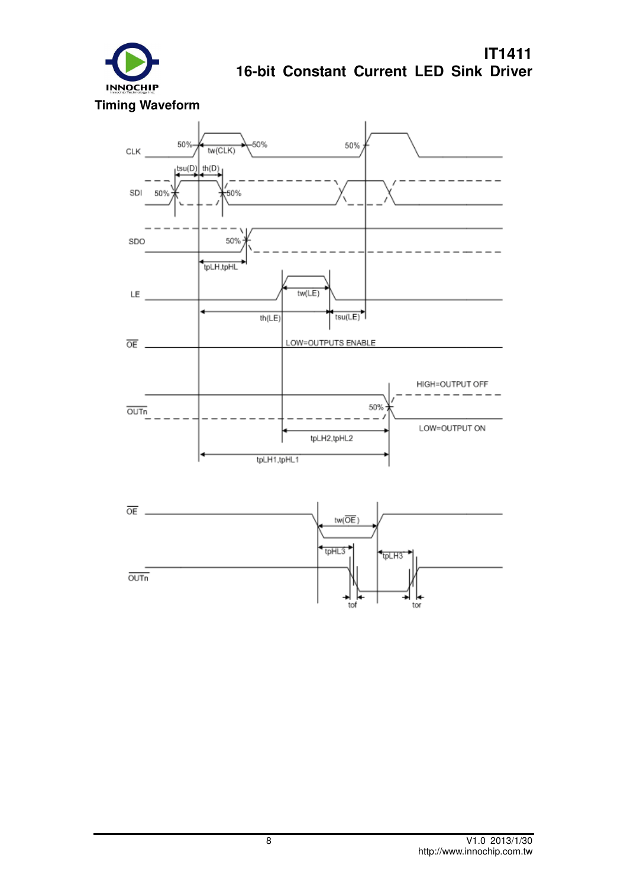

 $\overline{OUTn}$ 

50% 50% 50%  $tw(CLK)$ CLK tsu(D)  $th(D)$ SDI 50% ,<br>50% SDO 50% tpLH,tpHL  $tw(LE)$ LE  $th(LE)$  $tsu(LE)$ LOW=OUTPUTS ENABLE  $\overline{\text{OE}}$ . HIGH=OUTPUT OFF 50%  $\overline{OUTn}$ LOW=OUTPUT ON tpLH2,tpHL2 tpLH1,tpHL1  $\overline{OE}$ .  $tw(\overline{OE})$ tpHL3 tpLH3

tof

tor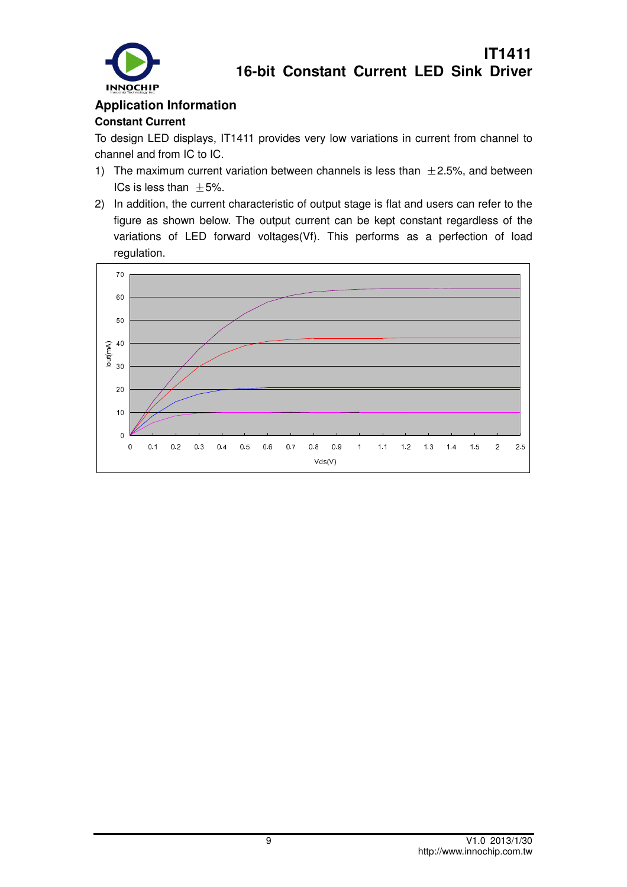

### **Application Information Constant Current**

To design LED displays, IT1411 provides very low variations in current from channel to channel and from IC to IC.

- 1) The maximum current variation between channels is less than  $\pm$  2.5%, and between ICs is less than  $\pm 5%$ .
- 2) In addition, the current characteristic of output stage is flat and users can refer to the figure as shown below. The output current can be kept constant regardless of the variations of LED forward voltages(Vf). This performs as a perfection of load regulation.

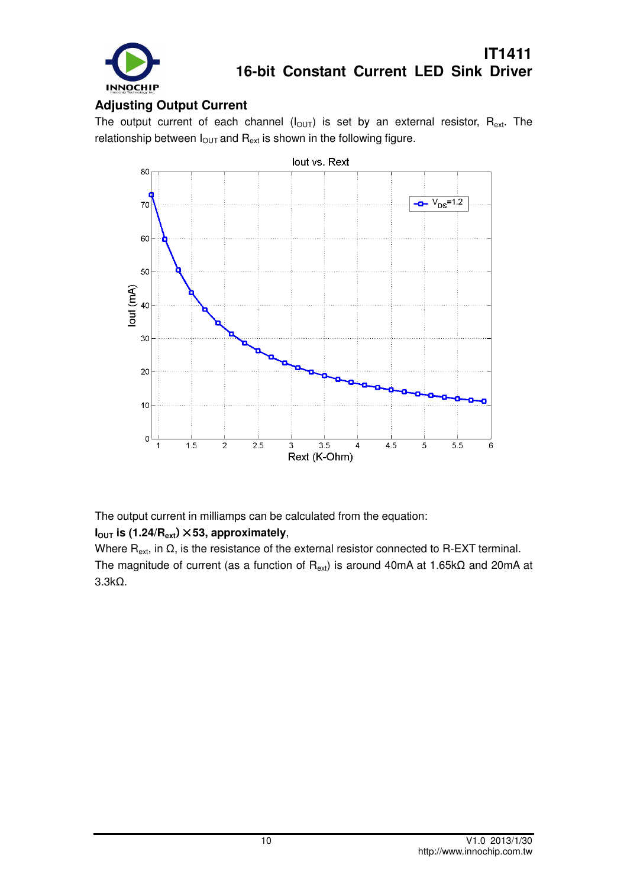

#### **Adjusting Output Current**

The output current of each channel  $(I<sub>OUT</sub>)$  is set by an external resistor,  $R_{ext}$ . The relationship between  $I_{\text{OUT}}$  and  $R_{\text{ext}}$  is shown in the following figure.



The output current in milliamps can be calculated from the equation:

#### **IOUT is (1.24/Rext**)×**53, approximately**,

Where  $R_{ext}$ , in  $\Omega$ , is the resistance of the external resistor connected to R-EXT terminal. The magnitude of current (as a function of  $R_{ext}$ ) is around 40mA at 1.65k $\Omega$  and 20mA at 3.3kΩ.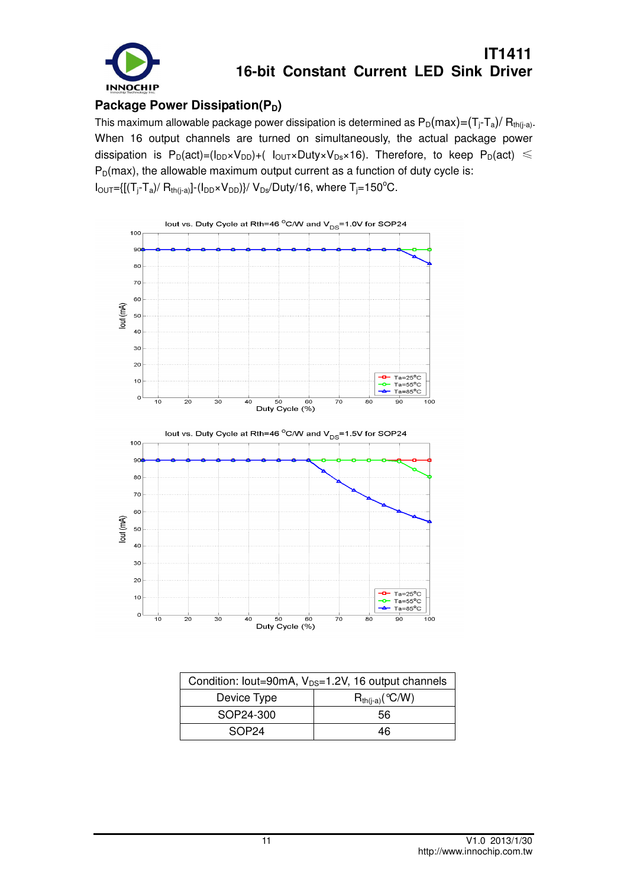

#### **Package Power Dissipation(P<sub>D</sub>)**

This maximum allowable package power dissipation is determined as  $P_D(max) = (T_i - T_a)/ R_{th(i-a)}$ . When 16 output channels are turned on simultaneously, the actual package power dissipation is  $P_D(act) = (I_{DD} \times V_{DD}) + (I_{OUT} \times Duty \times V_{DS} \times 16)$ . Therefore, to keep  $P_D(act) \le$  $P_D(max)$ , the allowable maximum output current as a function of duty cycle is:  $I_{\text{OUT}}=[[(T_j-T_a)/R_{th(j-a)}]-(I_{\text{DD}}*V_{\text{DD}})]/V_{\text{DS}}/\text{Duty}/16$ , where  $T_j=150^{\circ}\text{C}$ .



| Condition: lout=90mA, V <sub>DS</sub> =1.2V, 16 output channels |                      |  |  |
|-----------------------------------------------------------------|----------------------|--|--|
| Device Type                                                     | $R_{th(i-a)}$ (°C/W) |  |  |
| SOP24-300                                                       | 56                   |  |  |
| SOP <sub>24</sub>                                               | 46                   |  |  |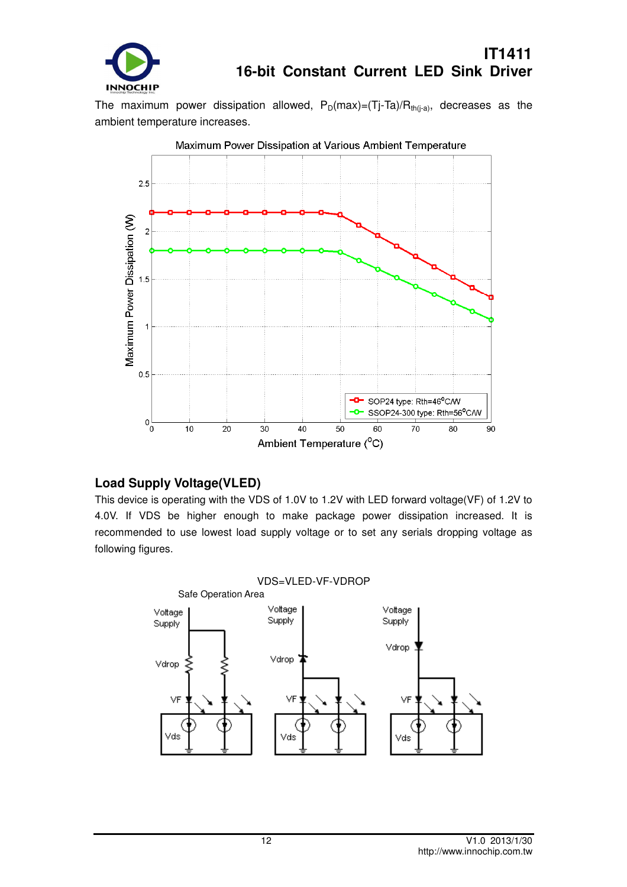

The maximum power dissipation allowed,  $P_D(max)=(Tj-Ta)/R_{th(i-a)}$ , decreases as the ambient temperature increases.



#### **Load Supply Voltage(VLED)**

This device is operating with the VDS of 1.0V to 1.2V with LED forward voltage(VF) of 1.2V to 4.0V. If VDS be higher enough to make package power dissipation increased. It is recommended to use lowest load supply voltage or to set any serials dropping voltage as following figures.

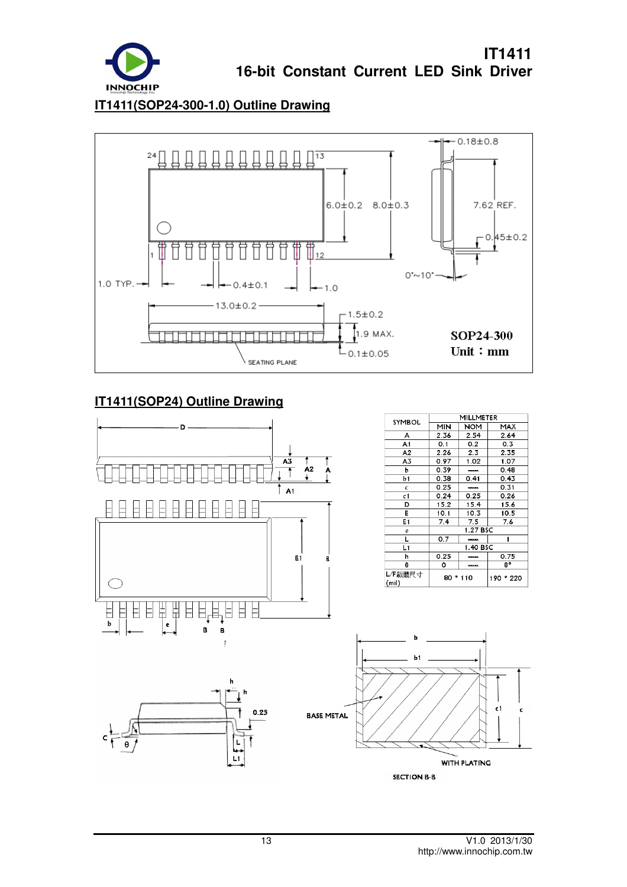

**IT1411(SOP24-300-1.0) Outline Drawing**



### **IT1411(SOP24) Outline Drawing**